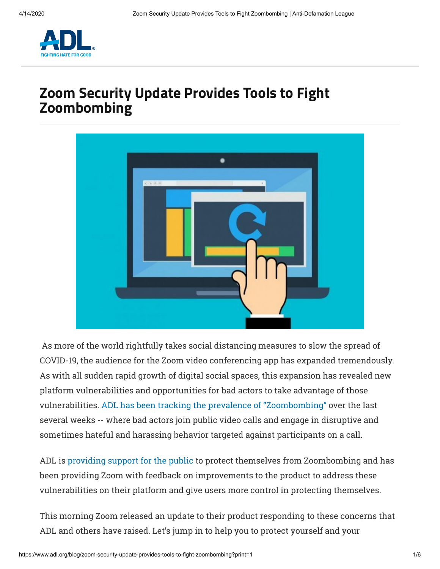

# **Zoom Security Update Provides Tools to Fight Zoombombing**



 As more of the world rightfully takes social distancing measures to slow the spread of COVID-19, the audience for the Zoom video conferencing app has expanded tremendously. As with all sudden rapid growth of digital social spaces, this expansion has revealed new platform vulnerabilities and opportunities for bad actors to take advantage of those vulnerabilities. ADL has been tracking the prevalence of "Zoombombing" over the last several weeks -- where bad actors join public video calls and engage in disruptive and sometimes hateful and harassing behavior targeted against participants on a call.

ADL is providin[g support for th](https://www.adl.org/blog/how-to-prevent-zoombombing)e public to protect themselves from Zoombombing and has been providing Zoom with feedback on improvements to the product to address these vulnerabilities on their platform and give users more control in protecting themselves.

This morning Zoom released an update to their product responding to these concerns that ADL and others have raised. Let's jump in to help you to protect yourself and your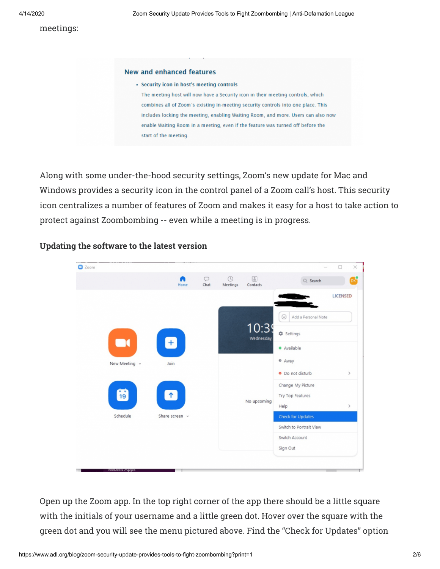#### **New and enhanced features**

- · Security icon in host's meeting controls
- The meeting host will now have a Security icon in their meeting controls, which combines all of Zoom's existing in-meeting security controls into one place. This includes locking the meeting, enabling Waiting Room, and more. Users can also now enable Waiting Room in a meeting, even if the feature was turned off before the start of the meeting.

Along with some under-the-hood security settings, Zoom's new update for Mac and Windows provides a security icon in the control panel of a Zoom call's host. This security icon centralizes a number of features of Zoom and makes it easy for a host to take action to protect against Zoombombing -- even while a meeting is in progress.



### **Updating the software to the latest version**

Open up the Zoom app. In the top right corner of the app there should be a little square with the initials of your username and a little green dot. Hover over the square with the green dot and you will see the menu pictured above. Find the "Check for Updates" option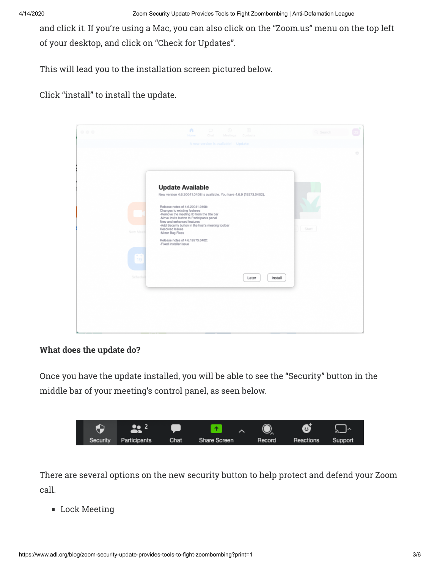and click it. If you're using a Mac, you can also click on the "Zoom.us" menu on the top left of your desktop, and click on "Check for Updates".

This will lead you to the installation screen pictured below.

Click "install" to install the update.



# **What does the update do?**

Once you have the update installed, you will be able to see the "Security" button in the middle bar of your meeting's control panel, as seen below.



There are several options on the new security button to help protect and defend your Zoom call.

**Lock Meeting**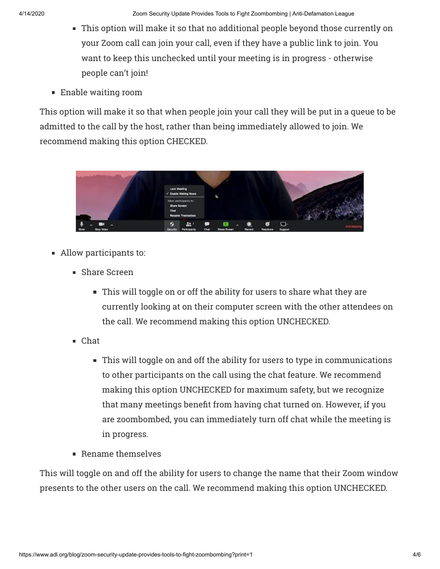- This option will make it so that no additional people beyond those currently on your Zoom call can join your call, even if they have a public link to join. You want to keep this unchecked until your meeting is in progress - otherwise people can't join!
- Enable waiting room

This option will make it so that when people join your call they will be put in a queue to be admitted to the call by the host, rather than being immediately allowed to join. We recommend making this option CHECKED.



- Allow participants to:
	- **BED** Share Screen
		- This will toggle on or off the ability for users to share what they are currently looking at on their computer screen with the other attendees on the call. We recommend making this option UNCHECKED.
	- Chat
		- This will toggle on and off the ability for users to type in communications to other participants on the call using the chat feature. We recommend making this option UNCHECKED for maximum safety, but we recognize that many meetings benefit from having chat turned on. However, if you are zoombombed, you can immediately turn off chat while the meeting is in progress.
	- Rename themselves

This will toggle on and off the ability for users to change the name that their Zoom window presents to the other users on the call. We recommend making this option UNCHECKED.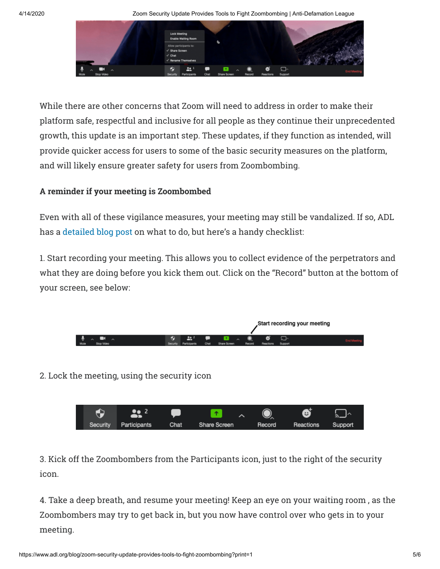4/14/2020 Zoom Security Update Provides Tools to Fight Zoombombing | Anti-Defamation League



While there are other concerns that Zoom will need to address in order to make their platform safe, respectful and inclusive for all people as they continue their unprecedented growth, this update is an important step. These updates, if they function as intended, will provide quicker access for users to some of the basic security measures on the platform, and will likely ensure greater safety for users from Zoombombing.

## **A reminder if your meeting is Zoombombed**

Even with all of these vigilance measures, your meeting may still be vandalized. If so, ADL has a detailed blog post on what to do, but here's a handy checklist:

1. Start recording your meeting. This allows you to collect evidence of the perpetrators and what they are doing before you kick them out. Click on the "Record" button at the bottom of your screen, see below:



2. Lock the meeting, using the security icon



3. Kick off the Zoombombers from the Participants icon, just to the right of the security icon.

4. Take a deep breath, and resume your meeting! Keep an eye on your waiting room , as the Zoombombers may try to get back in, but you now have control over who gets in to your meeting.